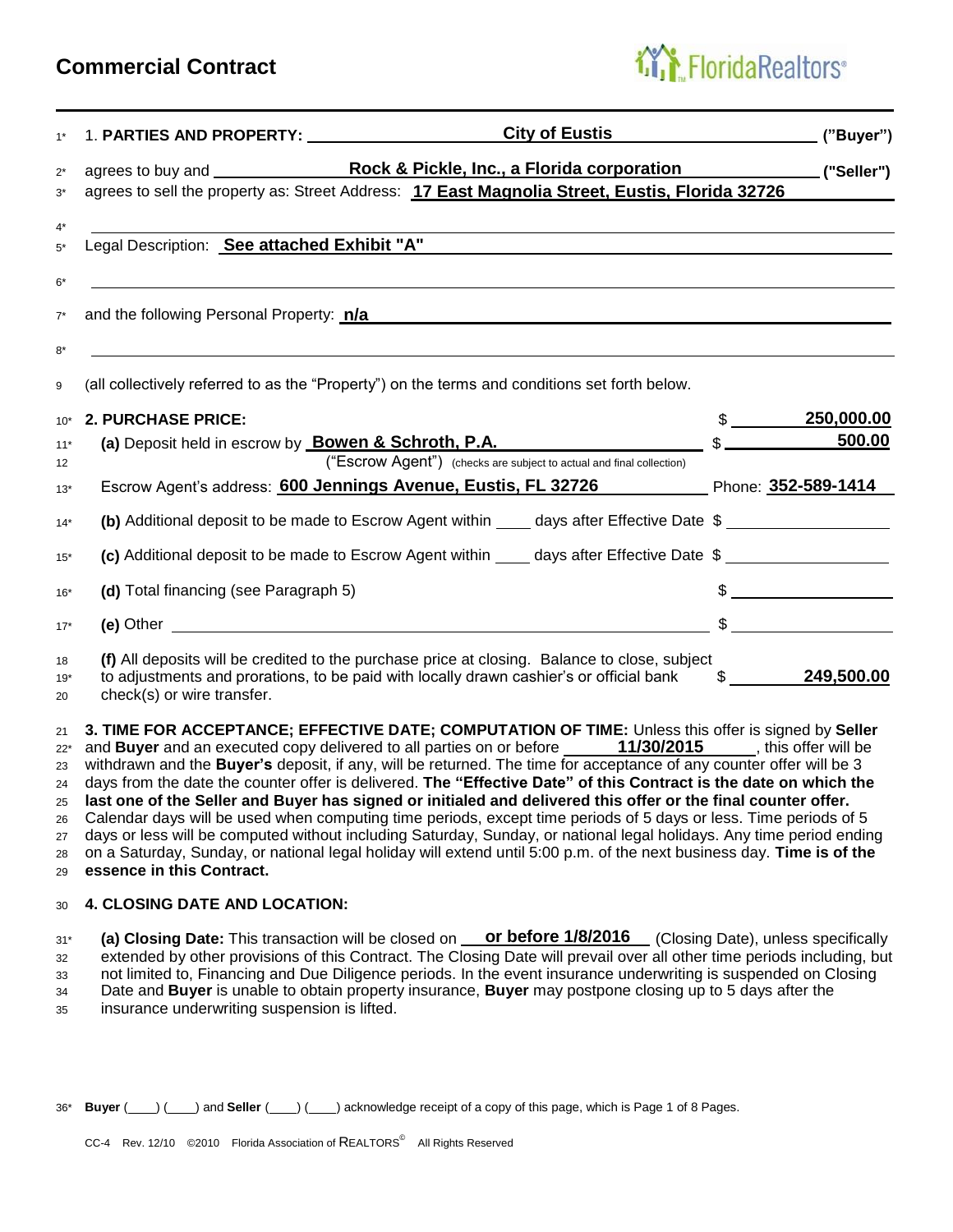## **Commercial Contract**

# FloridaRealtors<sup>®</sup>

| $1*$        | City of Eustis ("Buyer")                                                                                                                                                                                                                 |               |                  |
|-------------|------------------------------------------------------------------------------------------------------------------------------------------------------------------------------------------------------------------------------------------|---------------|------------------|
| $2^*$       |                                                                                                                                                                                                                                          |               |                  |
| $3^*$       | agrees to sell the property as: Street Address: 17 East Magnolia Street, Eustis, Florida 32726                                                                                                                                           |               |                  |
| $4^*$       |                                                                                                                                                                                                                                          |               |                  |
| $5*$        | Legal Description: See attached Exhibit "A"                                                                                                                                                                                              |               |                  |
| $6*$        |                                                                                                                                                                                                                                          |               |                  |
| $7^*$       | and the following Personal Property: n/a                                                                                                                                                                                                 |               |                  |
| $8*$<br>9   | (all collectively referred to as the "Property") on the terms and conditions set forth below.                                                                                                                                            |               |                  |
| $10*$       | 2. PURCHASE PRICE:                                                                                                                                                                                                                       | $\frac{1}{2}$ | 250,000.00       |
| $11*$       | (a) Deposit held in escrow by $\underline{\text{Bowen & Schroth, P.A.}}$ $\text{\$}\underline{\hspace{1.5cm}}\text{\$}$                                                                                                                  |               | 500.00           |
| 12          |                                                                                                                                                                                                                                          |               |                  |
| $13*$       | Escrow Agent's address: 600 Jennings Avenue, Eustis, FL 32726 Phone: 352-589-1414                                                                                                                                                        |               |                  |
| $14*$       | (b) Additional deposit to be made to Escrow Agent within _____ days after Effective Date \$ __________________                                                                                                                           |               |                  |
| $15*$       | (c) Additional deposit to be made to Escrow Agent within _____ days after Effective Date \$                                                                                                                                              |               |                  |
| $16*$       | (d) Total financing (see Paragraph 5)                                                                                                                                                                                                    |               | $\frac{1}{2}$    |
| $17*$       |                                                                                                                                                                                                                                          |               | $\frac{1}{2}$    |
| 18          | (f) All deposits will be credited to the purchase price at closing. Balance to close, subject                                                                                                                                            |               |                  |
| $19*$<br>20 | to adjustments and prorations, to be paid with locally drawn cashier's or official bank<br>check(s) or wire transfer.                                                                                                                    |               | $$ \_249,500.00$ |
| 21          | 3. TIME FOR ACCEPTANCE; EFFECTIVE DATE; COMPUTATION OF TIME: Unless this offer is signed by Seller                                                                                                                                       |               |                  |
| $22*$       | and Buyer and an executed copy delivered to all parties on or before _____ 11/30/2015 _____, this offer will be                                                                                                                          |               |                  |
| 23          | withdrawn and the Buyer's deposit, if any, will be returned. The time for acceptance of any counter offer will be 3<br>days from the date the counter offer is delivered. The "Effective Date" of this Contract is the date on which the |               |                  |
| 24<br>25    | last one of the Seller and Buyer has signed or initialed and delivered this offer or the final counter offer.                                                                                                                            |               |                  |
| 26          | Calendar days will be used when computing time periods, except time periods of 5 days or less. Time periods of 5                                                                                                                         |               |                  |
| 27          | days or less will be computed without including Saturday, Sunday, or national legal holidays. Any time period ending                                                                                                                     |               |                  |

28 on a Saturday, Sunday, or national legal holiday will extend until 5:00 p.m. of the next business day. **Time is of the** <sup>29</sup>**essence in this Contract.**

## <sup>30</sup>**4. CLOSING DATE AND LOCATION:**

31\* **(a) Closing Date:** This transaction will be closed on **or before 1/8/2016** (Closing Date), unless specifically 32 extended by other provisions of this Contract. The Closing Date will prevail over all other time periods including, but 33 not limited to, Financing and Due Diligence periods. In the event insurance underwriting is suspended on Closing <sup>34</sup>Date and **Buyer** is unable to obtain property insurance, **Buyer** may postpone closing up to 5 days after the 35 insurance underwriting suspension is lifted.

36<sup>\*</sup> **Buyer** (
) (
) and **Seller** (
) (
(
(
acknowledge receipt of a copy of this page, which is Page 1 of 8 Pages.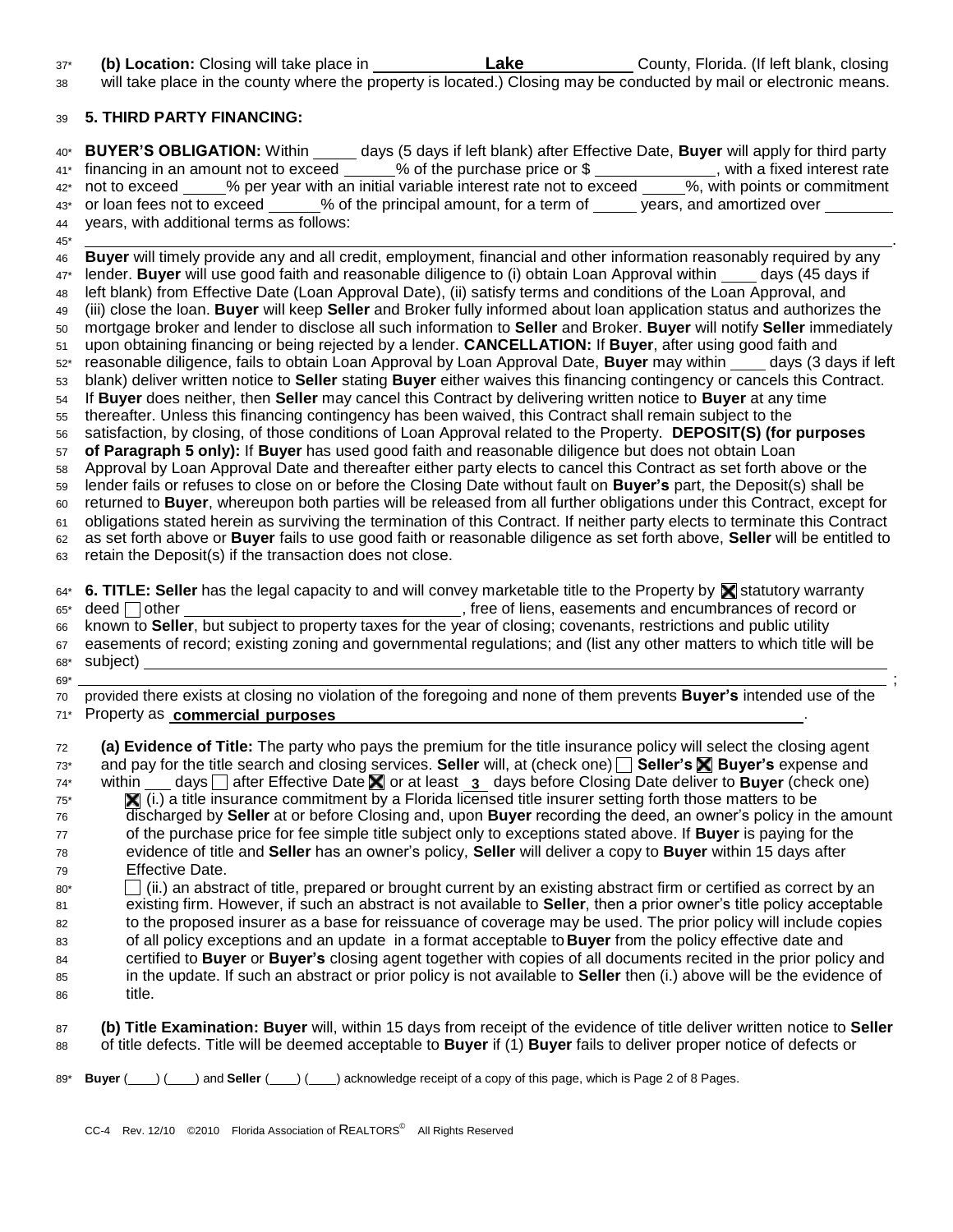37\* **(b) Location:** Closing will take place in **Lake** County, Florida. (If left blank, closing <sup>38</sup>will take place in the county where the property is located.) Closing may be conducted by mail or electronic means.

## <sup>39</sup>**5. THIRD PARTY FINANCING:**

40\* **BUYER'S OBLIGATION:** Within days (5 days if left blank) after Effective Date, **Buyer** will apply for third party 41\* financing in an amount not to exceed \_\_\_\_\_% of the purchase price or \$ \_\_\_\_\_\_\_\_\_\_\_, with a fixed interest rate 42\* not to exceed % per year with an initial variable interest rate not to exceed %, with points or commitment 43\* or loan fees not to exceed % of the principal amount, for a term of years, and amortized over <sup>44</sup>years, with additional terms as follows: 45\* . <sup>46</sup>**Buyer** will timely provide any and all credit, employment, financial and other information reasonably required by any 47\* lender. **Buyer** will use good faith and reasonable diligence to (i) obtain Loan Approval within days (45 days if 48 left blank) from Effective Date (Loan Approval Date), (ii) satisfy terms and conditions of the Loan Approval, and <sup>49</sup>(iii) close the loan. **Buyer** will keep **Seller** and Broker fully informed about loan application status and authorizes the <sup>50</sup>mortgage broker and lender to disclose all such information to **Seller** and Broker. **Buyer** will notify **Seller** immediately <sup>51</sup>upon obtaining financing or being rejected by a lender. **CANCELLATION:** If **Buyer**, after using good faith and 52\* reasonable diligence, fails to obtain Loan Approval by Loan Approval Date, **Buyer** may within days (3 days if left <sup>53</sup>blank) deliver written notice to **Seller** stating **Buyer** either waives this financing contingency or cancels this Contract. <sup>54</sup>If **Buyer** does neither, then **Seller** may cancel this Contract by delivering written notice to **Buyer** at any time  $55$  thereafter. Unless this financing contingency has been waived, this Contract shall remain subject to the <sup>56</sup>satisfaction, by closing, of those conditions of Loan Approval related to the Property. **DEPOSIT(S) (for purposes** <sup>57</sup>**of Paragraph 5 only):** If **Buyer** has used good faith and reasonable diligence but does not obtain Loan <sup>58</sup>Approval by Loan Approval Date and thereafter either party elects to cancel this Contract as set forth above or the <sup>59</sup>lender fails or refuses to close on or before the Closing Date without fault on **Buyer's** part, the Deposit(s) shall be <sup>60</sup>returned to **Buyer**, whereupon both parties will be released from all further obligations under this Contract, except for 61 obligations stated herein as surviving the termination of this Contract. If neither party elects to terminate this Contract <sup>62</sup>as set forth above or **Buyer** fails to use good faith or reasonable diligence as set forth above, **Seller** will be entitled to 63 retain the Deposit(s) if the transaction does not close.  $64^*$  **6. TITLE: Seller** has the legal capacity to and will convey marketable title to the Property by **S** statutory warranty 65\* deed other states of liens, easements and encumbrances of record or <sup>66</sup>known to **Seller**, but subject to property taxes for the year of closing; covenants, restrictions and public utility  $67$  easements of record; existing zoning and governmental regulations; and (list any other matters to which title will be 68\* subject) 69\* ; <sup>70</sup>provided there exists at closing no violation of the foregoing and none of them prevents **Buyer's** intended use of the 71\* Property as **commercial purposes** . <sup>72</sup>**(a) Evidence of Title:** The party who pays the premium for the title insurance policy will select the closing agent 73\* and pay for the title search and closing services. **Seller** will, at (check one) **Seller's Buyer's** expense and 74<sup>\*</sup> within <u>∴ days</u> after Effective Date **in** or at least **3** days before Closing Date deliver to **Buyer** (check one)  $\mathbf{x}$  (i.) a title insurance commitment by a Florida licensed title insurer setting forth those matters to be <sup>76</sup>discharged by **Seller** at or before Closing and, upon **Buyer** recording the deed, an owner's policy in the amount <sup>77</sup>of the purchase price for fee simple title subject only to exceptions stated above. If **Buyer** is paying for the <sup>78</sup>evidence of title and **Seller** has an owner's policy, **Seller** will deliver a copy to **Buyer** within 15 days after <sup>79</sup>Effective Date.  $80^*$  (ii.) an abstract of title, prepared or brought current by an existing abstract firm or certified as correct by an <sup>81</sup>existing firm. However, if such an abstract is not available to **Seller**, then a prior owner's title policy acceptable 82 to the proposed insurer as a base for reissuance of coverage may be used. The prior policy will include copies 83 of all policy exceptions and an update in a format acceptable to **Buyer** from the policy effective date and <sup>84</sup>certified to **Buyer** or **Buyer's** closing agent together with copies of all documents recited in the prior policy and <sup>85</sup>in the update. If such an abstract or prior policy is not available to **Seller** then (i.) above will be the evidence of 86 title.

- <sup>87</sup>**(b) Title Examination: Buyer** will, within 15 days from receipt of the evidence of title deliver written notice to **Seller** 88 of title defects. Title will be deemed acceptable to **Buyer** if (1) **Buyer** fails to deliver proper notice of defects or
- 89\* **Buyer** (
) (
) and **Seller** (
) (
(
(
acknowledge receipt of a copy of this page, which is Page 2 of 8 Pages.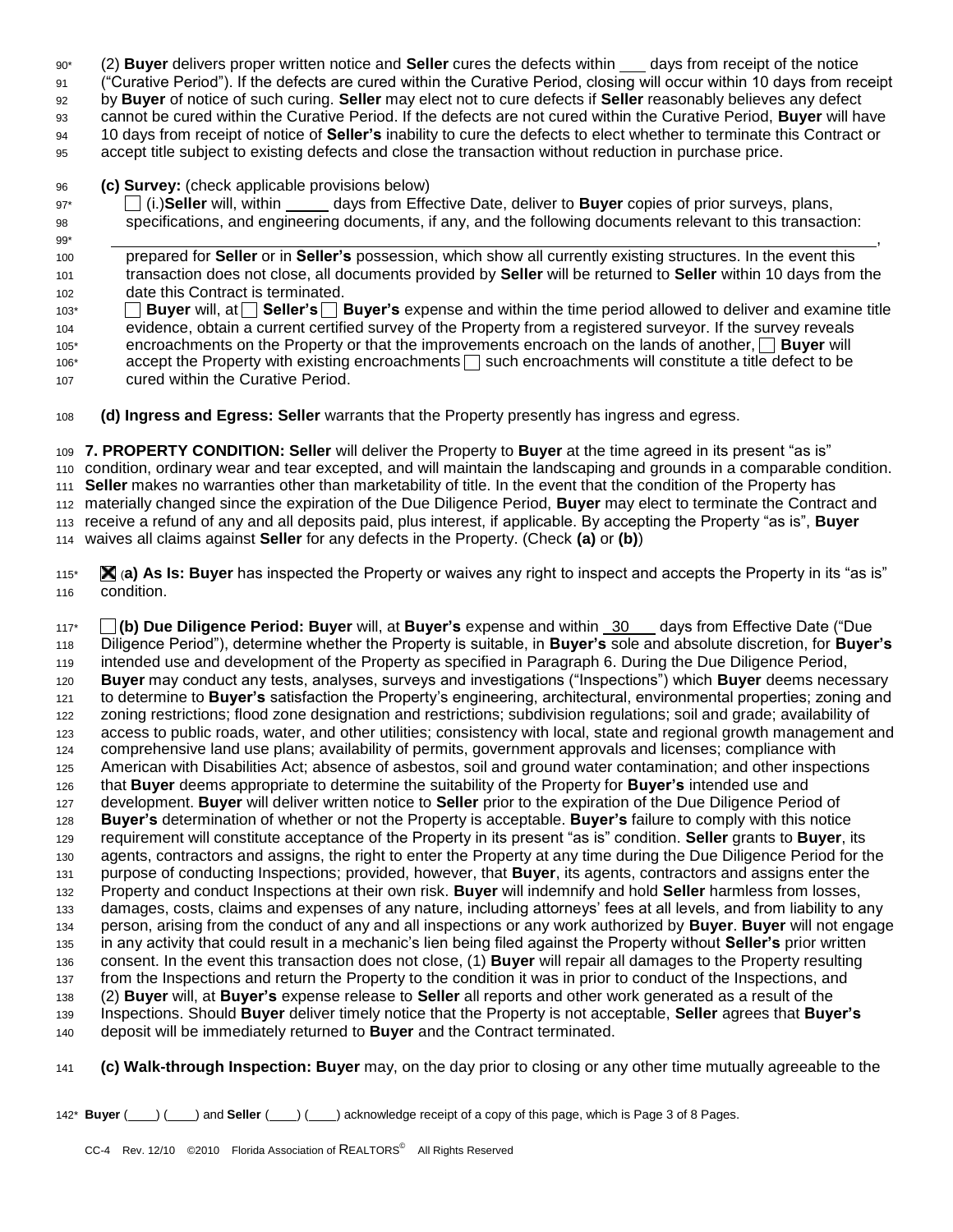- 90\* (2) **Buyer** delivers proper written notice and **Seller** cures the defects within days from receipt of the notice
- <sup>91</sup>("Curative Period"). If the defects are cured within the Curative Period, closing will occur within 10 days from receipt
- <sup>92</sup>by **Buyer** of notice of such curing. **Seller** may elect not to cure defects if **Seller** reasonably believes any defect
- <sup>93</sup>cannot be cured within the Curative Period. If the defects are not cured within the Curative Period, **Buyer** will have
- <sup>94</sup>10 days from receipt of notice of **Seller's** inability to cure the defects to elect whether to terminate this Contract or
- 95 accept title subject to existing defects and close the transaction without reduction in purchase price.

## <sup>96</sup>**(c) Survey:** (check applicable provisions below)

- 97\* (i.)**Seller** will, within days from Effective Date, deliver to **Buyer** copies of prior surveys, plans, <sup>98</sup>specifications, and engineering documents, if any, and the following documents relevant to this transaction:
- 99\* , <sup>100</sup>prepared for **Seller** or in **Seller's** possession, which show all currently existing structures. In the event this <sup>101</sup>transaction does not close, all documents provided by **Seller** will be returned to **Seller** within 10 days from the 102 date this Contract is terminated. 103<sup>\*</sup> **Buyer** will, at **Seller's** Buyer's expense and within the time period allowed to deliver and examine title
- <sup>104</sup>evidence, obtain a current certified survey of the Property from a registered surveyor. If the survey reveals 105\* encroachments on the Property or that the improvements encroach on the lands of another, **Buyer** will  $106*$  accept the Property with existing encroachments  $\Box$  such encroachments will constitute a title defect to be 107 cured within the Curative Period.
- <sup>108</sup>**(d) Ingress and Egress: Seller** warrants that the Property presently has ingress and egress.

**7. PROPERTY CONDITION: Seller** will deliver the Property to **Buyer** at the time agreed in its present "as is" condition, ordinary wear and tear excepted, and will maintain the landscaping and grounds in a comparable condition. **Seller** makes no warranties other than marketability of title. In the event that the condition of the Property has materially changed since the expiration of the Due Diligence Period, **Buyer** may elect to terminate the Contract and receive a refund of any and all deposits paid, plus interest, if applicable. By accepting the Property "as is", **Buyer** waives all claims against **Seller** for any defects in the Property. (Check **(a)** or **(b)**)

115\* (**a) As Is: Buyer** has inspected the Property or waives any right to inspect and accepts the Property in its "as is" 116 condition.

117\* **(b) Due Diligence Period: Buyer** will, at **Buyer's** expense and within 30 days from Effective Date ("Due <sup>118</sup>Diligence Period"), determine whether the Property is suitable, in **Buyer's** sole and absolute discretion, for **Buyer's** 119 intended use and development of the Property as specified in Paragraph 6. During the Due Diligence Period, <sup>120</sup>**Buyer** may conduct any tests, analyses, surveys and investigations ("Inspections") which **Buyer** deems necessary 121 to determine to **Buyer's** satisfaction the Property's engineering, architectural, environmental properties; zoning and 122 zoning restrictions; flood zone designation and restrictions; subdivision regulations; soil and grade; availability of 123 access to public roads, water, and other utilities; consistency with local, state and regional growth management and 124 comprehensive land use plans; availability of permits, government approvals and licenses; compliance with <sup>125</sup>American with Disabilities Act; absence of asbestos, soil and ground water contamination; and other inspections <sup>126</sup>that **Buyer** deems appropriate to determine the suitability of the Property for **Buyer's** intended use and 127 development. **Buyer** will deliver written notice to **Seller** prior to the expiration of the Due Diligence Period of <sup>128</sup>**Buyer's** determination of whether or not the Property is acceptable. **Buyer's** failure to comply with this notice <sup>129</sup>requirement will constitute acceptance of the Property in its present "as is" condition. **Seller** grants to **Buyer**, its 130 agents, contractors and assigns, the right to enter the Property at any time during the Due Diligence Period for the 131 purpose of conducting Inspections; provided, however, that **Buyer**, its agents, contractors and assigns enter the <sup>132</sup>Property and conduct Inspections at their own risk. **Buyer** will indemnify and hold **Seller** harmless from losses, 133 damages, costs, claims and expenses of any nature, including attorneys' fees at all levels, and from liability to any <sup>134</sup>person, arising from the conduct of any and all inspections or any work authorized by **Buyer**. **Buyer** will not engage <sup>135</sup>in any activity that could result in a mechanic's lien being filed against the Property without **Seller's** prior written <sup>136</sup>consent. In the event this transaction does not close, (1) **Buyer** will repair all damages to the Property resulting 137 from the Inspections and return the Property to the condition it was in prior to conduct of the Inspections, and <sup>138</sup>(2) **Buyer** will, at **Buyer's** expense release to **Seller** all reports and other work generated as a result of the <sup>139</sup>Inspections. Should **Buyer** deliver timely notice that the Property is not acceptable, **Seller** agrees that **Buyer's** <sup>140</sup>deposit will be immediately returned to **Buyer** and the Contract terminated.

- <sup>141</sup>**(c) Walk-through Inspection: Buyer** may, on the day prior to closing or any other time mutually agreeable to the
- 142\* **Buyer** ( ) ( ) and **Seller** ( ) ( ) acknowledge receipt of a copy of this page, which is Page 3 of 8 Pages.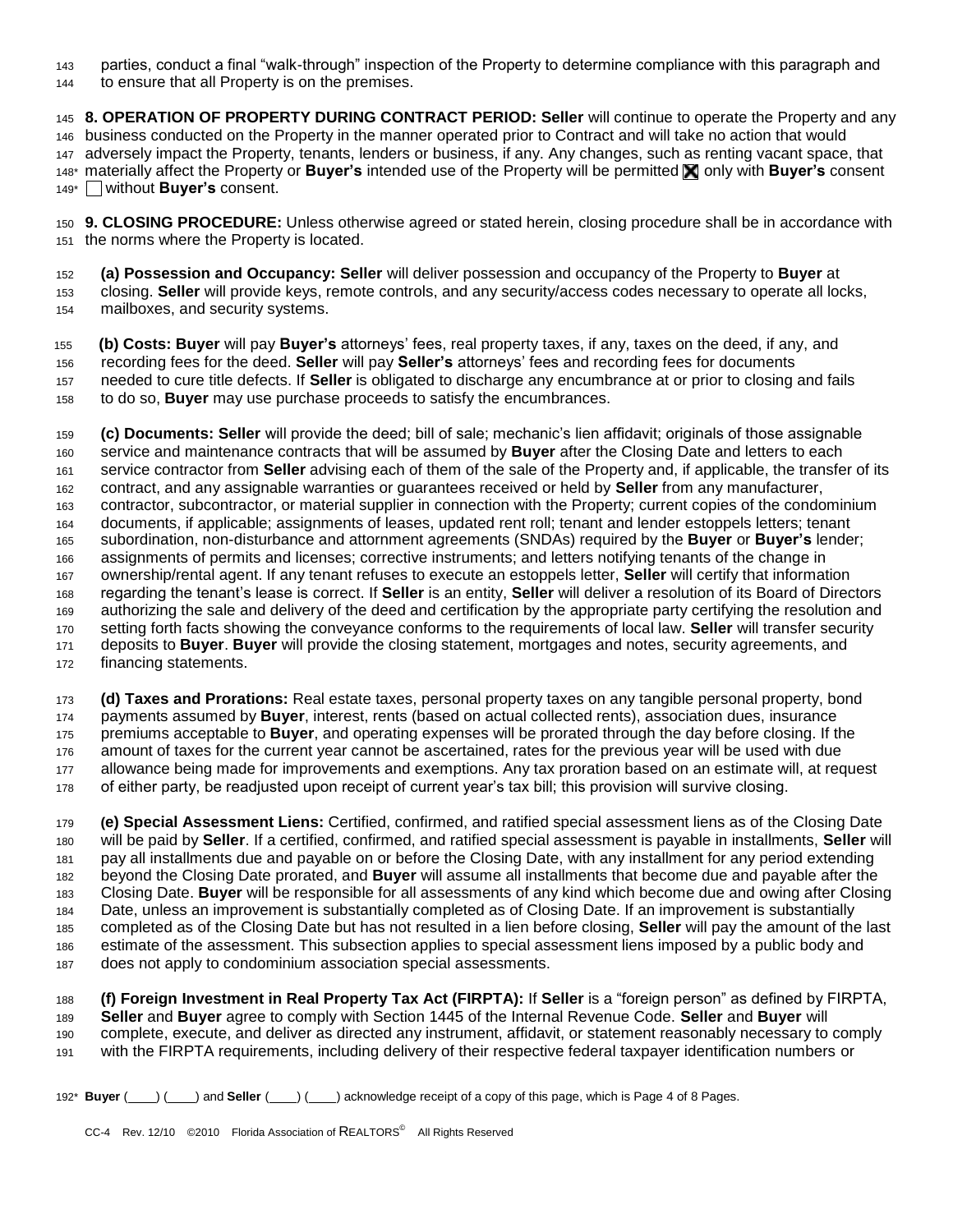parties, conduct a final "walk-through" inspection of the Property to determine compliance with this paragraph and

144 to ensure that all Property is on the premises.

**8. OPERATION OF PROPERTY DURING CONTRACT PERIOD: Seller** will continue to operate the Property and any 146 business conducted on the Property in the manner operated prior to Contract and will take no action that would 147 adversely impact the Property, tenants, lenders or business, if any. Any changes, such as renting vacant space, that 148\* materially affect the Property or Buyer's intended use of the Property will be permitted **X** only with Buyer's consent 149\* without **Buyer's** consent.

**9. CLOSING PROCEDURE:** Unless otherwise agreed or stated herein, closing procedure shall be in accordance with 151 the norms where the Property is located.

**(a) Possession and Occupancy: Seller** will deliver possession and occupancy of the Property to **Buyer** at closing. **Seller** will provide keys, remote controls, and any security/access codes necessary to operate all locks, 154 mailboxes, and security systems.

**(b) Costs: Buyer** will pay **Buyer's** attorneys' fees, real property taxes, if any, taxes on the deed, if any, and recording fees for the deed. **Seller** will pay **Seller's** attorneys' fees and recording fees for documents needed to cure title defects. If **Seller** is obligated to discharge any encumbrance at or prior to closing and fails to do so, **Buyer** may use purchase proceeds to satisfy the encumbrances.

**(c) Documents: Seller** will provide the deed; bill of sale; mechanic's lien affidavit; originals of those assignable 160 service and maintenance contracts that will be assumed by **Buyer** after the Closing Date and letters to each service contractor from **Seller** advising each of them of the sale of the Property and, if applicable, the transfer of its contract, and any assignable warranties or guarantees received or held by **Seller** from any manufacturer, contractor, subcontractor, or material supplier in connection with the Property; current copies of the condominium documents, if applicable; assignments of leases, updated rent roll; tenant and lender estoppels letters; tenant subordination, non-disturbance and attornment agreements (SNDAs) required by the **Buyer** or **Buyer's** lender; 166 assignments of permits and licenses; corrective instruments; and letters notifying tenants of the change in ownership/rental agent. If any tenant refuses to execute an estoppels letter, **Seller** will certify that information regarding the tenant's lease is correct. If **Seller** is an entity, **Seller** will deliver a resolution of its Board of Directors 169 authorizing the sale and delivery of the deed and certification by the appropriate party certifying the resolution and setting forth facts showing the conveyance conforms to the requirements of local law. **Seller** will transfer security 171 deposits to **Buyer**. **Buyer** will provide the closing statement, mortgages and notes, security agreements, and 172 financing statements.

**(d) Taxes and Prorations:** Real estate taxes, personal property taxes on any tangible personal property, bond payments assumed by **Buyer**, interest, rents (based on actual collected rents), association dues, insurance 175 premiums acceptable to **Buyer**, and operating expenses will be prorated through the day before closing. If the 176 amount of taxes for the current year cannot be ascertained, rates for the previous year will be used with due 177 allowance being made for improvements and exemptions. Any tax proration based on an estimate will, at request 178 of either party, be readjusted upon receipt of current year's tax bill; this provision will survive closing.

**(e) Special Assessment Liens:** Certified, confirmed, and ratified special assessment liens as of the Closing Date will be paid by **Seller**. If a certified, confirmed, and ratified special assessment is payable in installments, **Seller** will pay all installments due and payable on or before the Closing Date, with any installment for any period extending beyond the Closing Date prorated, and **Buyer** will assume all installments that become due and payable after the Closing Date. **Buyer** will be responsible for all assessments of any kind which become due and owing after Closing Date, unless an improvement is substantially completed as of Closing Date. If an improvement is substantially completed as of the Closing Date but has not resulted in a lien before closing, **Seller** will pay the amount of the last 186 estimate of the assessment. This subsection applies to special assessment liens imposed by a public body and 187 does not apply to condominium association special assessments.

**(f) Foreign Investment in Real Property Tax Act (FIRPTA):** If **Seller** is a "foreign person" as defined by FIRPTA, **Seller** and **Buyer** agree to comply with Section 1445 of the Internal Revenue Code. **Seller** and **Buyer** will complete, execute, and deliver as directed any instrument, affidavit, or statement reasonably necessary to comply with the FIRPTA requirements, including delivery of their respective federal taxpayer identification numbers or

192\* **Buyer** ( ) ( ) and **Seller** ( ) ( ) acknowledge receipt of a copy of this page, which is Page 4 of 8 Pages.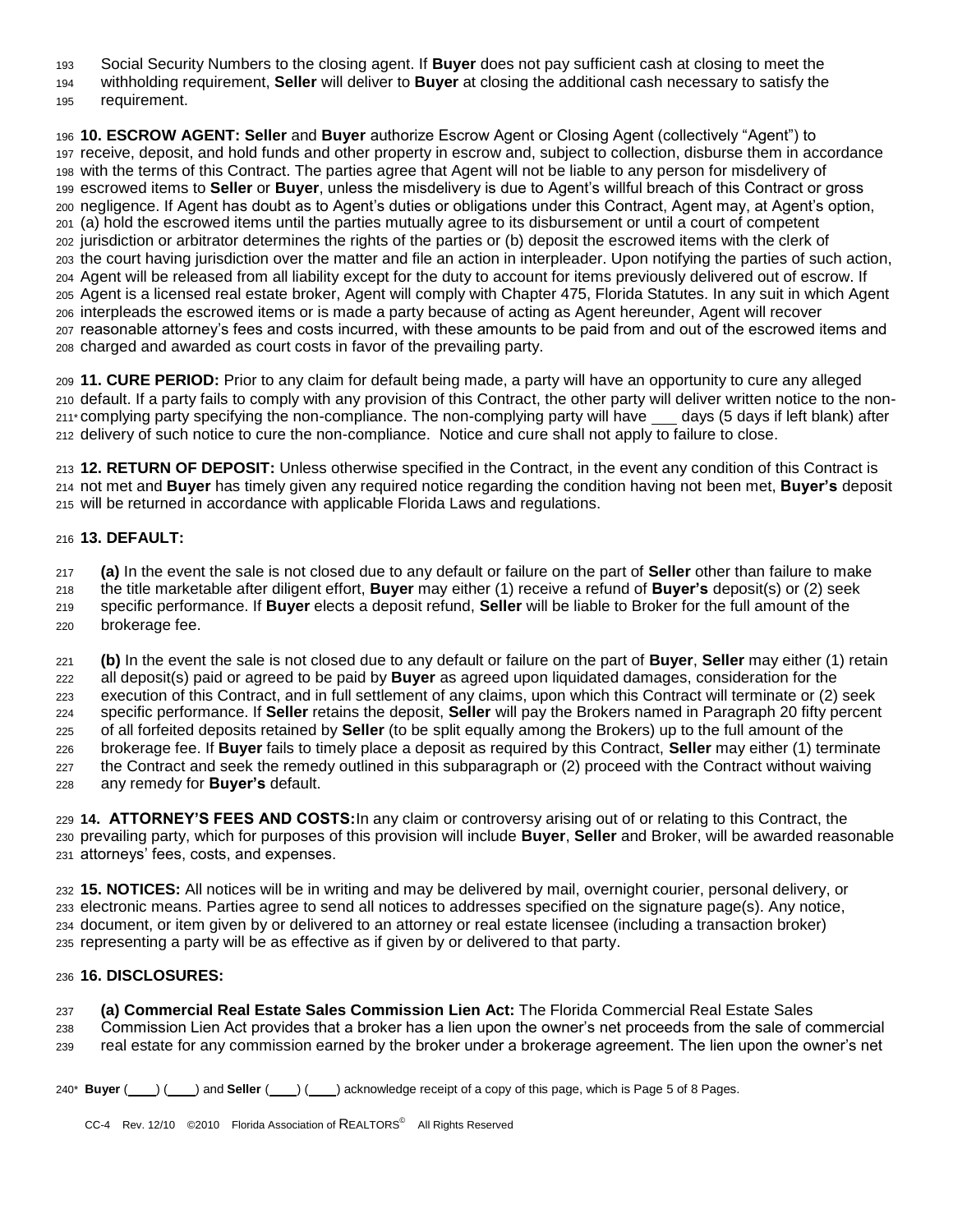Social Security Numbers to the closing agent. If **Buyer** does not pay sufficient cash at closing to meet the

withholding requirement, **Seller** will deliver to **Buyer** at closing the additional cash necessary to satisfy the

195 requirement.

**10. ESCROW AGENT: Seller** and **Buyer** authorize Escrow Agent or Closing Agent (collectively "Agent") to receive, deposit, and hold funds and other property in escrow and, subject to collection, disburse them in accordance with the terms of this Contract. The parties agree that Agent will not be liable to any person for misdelivery of escrowed items to **Seller** or **Buyer**, unless the misdelivery is due to Agent's willful breach of this Contract or gross negligence. If Agent has doubt as to Agent's duties or obligations under this Contract, Agent may, at Agent's option, (a) hold the escrowed items until the parties mutually agree to its disbursement or until a court of competent jurisdiction or arbitrator determines the rights of the parties or (b) deposit the escrowed items with the clerk of the court having jurisdiction over the matter and file an action in interpleader. Upon notifying the parties of such action, Agent will be released from all liability except for the duty to account for items previously delivered out of escrow. If Agent is a licensed real estate broker, Agent will comply with Chapter 475, Florida Statutes. In any suit in which Agent interpleads the escrowed items or is made a party because of acting as Agent hereunder, Agent will recover reasonable attorney's fees and costs incurred, with these amounts to be paid from and out of the escrowed items and charged and awarded as court costs in favor of the prevailing party.

**11. CURE PERIOD:** Prior to any claim for default being made, a party will have an opportunity to cure any alleged default. If a party fails to comply with any provision of this Contract, the other party will deliver written notice to the non- $211*$  complying party specifying the non-compliance. The non-complying party will have  $\_\_\_\_$  days (5 days if left blank) after delivery of such notice to cure the non-compliance. Notice and cure shall not apply to failure to close.

**12. RETURN OF DEPOSIT:** Unless otherwise specified in the Contract, in the event any condition of this Contract is not met and **Buyer** has timely given any required notice regarding the condition having not been met, **Buyer's** deposit 215 will be returned in accordance with applicable Florida Laws and regulations.

## **13. DEFAULT:**

**(a)** In the event the sale is not closed due to any default or failure on the part of **Seller** other than failure to make

the title marketable after diligent effort, **Buyer** may either (1) receive a refund of **Buyer's** deposit(s) or (2) seek

specific performance. If **Buyer** elects a deposit refund, **Seller** will be liable to Broker for the full amount of the

220 brokerage fee.

**(b)** In the event the sale is not closed due to any default or failure on the part of **Buyer**, **Seller** may either (1) retain all deposit(s) paid or agreed to be paid by **Buyer** as agreed upon liquidated damages, consideration for the 223 execution of this Contract, and in full settlement of any claims, upon which this Contract will terminate or (2) seek specific performance. If **Seller** retains the deposit, **Seller** will pay the Brokers named in Paragraph 20 fifty percent of all forfeited deposits retained by **Seller** (to be split equally among the Brokers) up to the full amount of the brokerage fee. If **Buyer** fails to timely place a deposit as required by this Contract, **Seller** may either (1) terminate 227 the Contract and seek the remedy outlined in this subparagraph or (2) proceed with the Contract without waiving any remedy for **Buyer's** default.

**14. ATTORNEY'S FEES AND COSTS:**In any claim or controversy arising out of or relating to this Contract, the prevailing party, which for purposes of this provision will include **Buyer**, **Seller** and Broker, will be awarded reasonable attorneys' fees, costs, and expenses.

**15. NOTICES:** All notices will be in writing and may be delivered by mail, overnight courier, personal delivery, or electronic means. Parties agree to send all notices to addresses specified on the signature page(s). Any notice, document, or item given by or delivered to an attorney or real estate licensee (including a transaction broker) representing a party will be as effective as if given by or delivered to that party.

## **16. DISCLOSURES:**

**(a) Commercial Real Estate Sales Commission Lien Act:** The Florida Commercial Real Estate Sales Commission Lien Act provides that a broker has a lien upon the owner's net proceeds from the sale of commercial

real estate for any commission earned by the broker under a brokerage agreement. The lien upon the owner's net

240\* **Buyer** ( ) ( ) and **Seller** ( ) ( ) acknowledge receipt of a copy of this page, which is Page 5 of 8 Pages.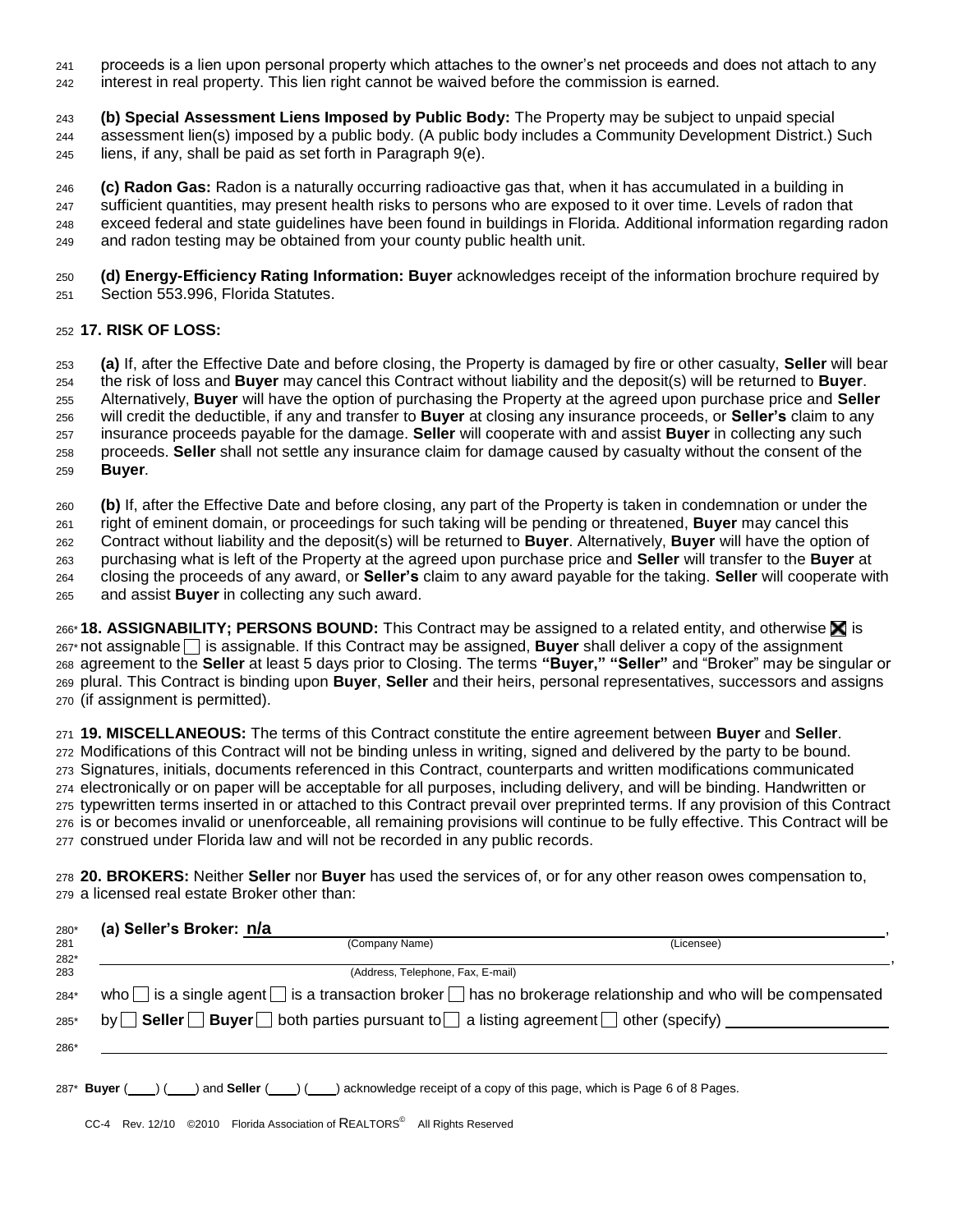- proceeds is a lien upon personal property which attaches to the owner's net proceeds and does not attach to any 242 interest in real property. This lien right cannot be waived before the commission is earned.
- **(b) Special Assessment Liens Imposed by Public Body:** The Property may be subject to unpaid special assessment lien(s) imposed by a public body. (A public body includes a Community Development District.) Such
- liens, if any, shall be paid as set forth in Paragraph  $9(e)$ .

**(c) Radon Gas:** Radon is a naturally occurring radioactive gas that, when it has accumulated in a building in 247 sufficient quantities, may present health risks to persons who are exposed to it over time. Levels of radon that exceed federal and state guidelines have been found in buildings in Florida. Additional information regarding radon 249 and radon testing may be obtained from your county public health unit.

**(d) Energy-Efficiency Rating Information: Buyer** acknowledges receipt of the information brochure required by 251 Section 553.996, Florida Statutes.

## **17. RISK OF LOSS:**

**(a)** If, after the Effective Date and before closing, the Property is damaged by fire or other casualty, **Seller** will bear the risk of loss and **Buyer** may cancel this Contract without liability and the deposit(s) will be returned to **Buyer**. Alternatively, **Buyer** will have the option of purchasing the Property at the agreed upon purchase price and **Seller** will credit the deductible, if any and transfer to **Buyer** at closing any insurance proceeds, or **Seller's** claim to any insurance proceeds payable for the damage. **Seller** will cooperate with and assist **Buyer** in collecting any such proceeds. **Seller** shall not settle any insurance claim for damage caused by casualty without the consent of the **Buyer**.

**(b)** If, after the Effective Date and before closing, any part of the Property is taken in condemnation or under the

right of eminent domain, or proceedings for such taking will be pending or threatened, **Buyer** may cancel this

Contract without liability and the deposit(s) will be returned to **Buyer**. Alternatively, **Buyer** will have the option of

purchasing what is left of the Property at the agreed upon purchase price and **Seller** will transfer to the **Buyer** at

closing the proceeds of any award, or **Seller's** claim to any award payable for the taking. **Seller** will cooperate with

and assist **Buyer** in collecting any such award.

266<sup>\*</sup> **18. ASSIGNABILITY: PERSONS BOUND:** This Contract may be assigned to a related entity, and otherwise **X** is 267\* not assignable is assignable. If this Contract may be assigned, **Buyer** shall deliver a copy of the assignment agreement to the **Seller** at least 5 days prior to Closing. The terms **"Buyer," "Seller"** and "Broker" may be singular or plural. This Contract is binding upon **Buyer**, **Seller** and their heirs, personal representatives, successors and assigns (if assignment is permitted).

**19. MISCELLANEOUS:** The terms of this Contract constitute the entire agreement between **Buyer** and **Seller**. Modifications of this Contract will not be binding unless in writing, signed and delivered by the party to be bound. Signatures, initials, documents referenced in this Contract, counterparts and written modifications communicated electronically or on paper will be acceptable for all purposes, including delivery, and will be binding. Handwritten or typewritten terms inserted in or attached to this Contract prevail over preprinted terms. If any provision of this Contract is or becomes invalid or unenforceable, all remaining provisions will continue to be fully effective. This Contract will be construed under Florida law and will not be recorded in any public records.

**20. BROKERS:** Neither **Seller** nor **Buyer** has used the services of, or for any other reason owes compensation to, a licensed real estate Broker other than:

| 280* | (a) Seller's Broker: n/a                                                                                                     |            |  |  |
|------|------------------------------------------------------------------------------------------------------------------------------|------------|--|--|
| 281  | (Company Name)                                                                                                               | (Licensee) |  |  |
| 282* |                                                                                                                              |            |  |  |
| 283  | (Address, Telephone, Fax, E-mail)                                                                                            |            |  |  |
| 284* | who $\Box$ is a single agent $\Box$ is a transaction broker $\Box$ has no brokerage relationship and who will be compensated |            |  |  |
| 285* | by Seller Buyer both parties pursuant to a listing agreement other (specify)                                                 |            |  |  |
| 286* |                                                                                                                              |            |  |  |
|      |                                                                                                                              |            |  |  |

287\* **Buyer** ( ) ( ) and **Seller** ( ) ( ) acknowledge receipt of a copy of this page, which is Page 6 of 8 Pages.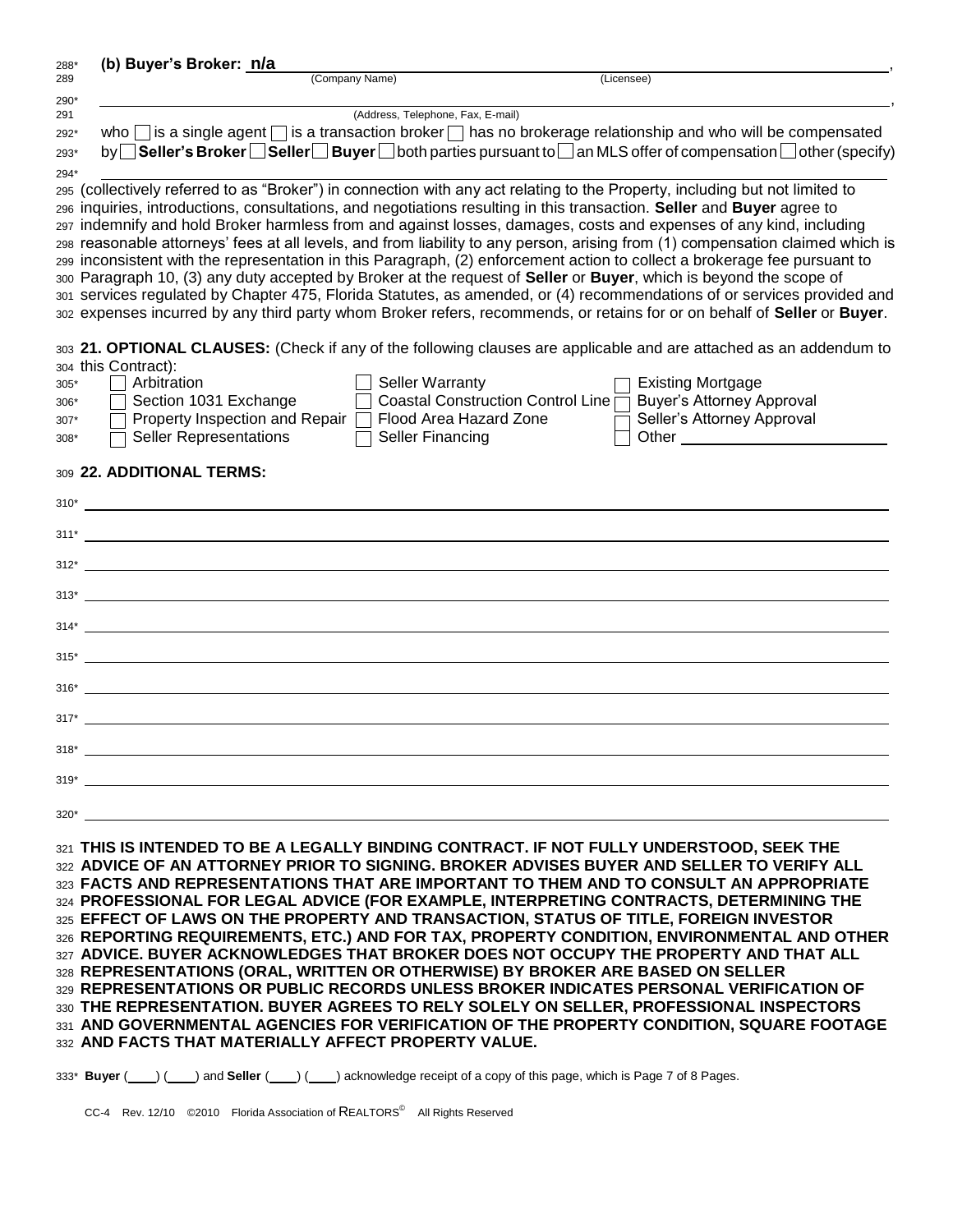| 288*   | (b) Buyer's Broker: n/a                                                                                                        |  |  |  |  |
|--------|--------------------------------------------------------------------------------------------------------------------------------|--|--|--|--|
| 289    | (Company Name)<br>(Licensee)                                                                                                   |  |  |  |  |
| 290*   |                                                                                                                                |  |  |  |  |
| 291    | (Address, Telephone, Fax, E-mail)                                                                                              |  |  |  |  |
| 292*   | who $\Box$ is a single agent $\Box$ is a transaction broker $\Box$ has no brokerage relationship and who will be compensated   |  |  |  |  |
| 293*   | by Seller's Broker Seller Buyer Sooth parties pursuant to an MLS offer of compensation Sother (specify)                        |  |  |  |  |
| 294*   |                                                                                                                                |  |  |  |  |
|        | 295 (collectively referred to as "Broker") in connection with any act relating to the Property, including but not limited to   |  |  |  |  |
|        | 296 inquiries, introductions, consultations, and negotiations resulting in this transaction. Seller and Buyer agree to         |  |  |  |  |
|        | 297 indemnify and hold Broker harmless from and against losses, damages, costs and expenses of any kind, including             |  |  |  |  |
|        | 298 reasonable attorneys' fees at all levels, and from liability to any person, arising from (1) compensation claimed which is |  |  |  |  |
|        | 299 inconsistent with the representation in this Paragraph, (2) enforcement action to collect a brokerage fee pursuant to      |  |  |  |  |
|        | 300 Paragraph 10, (3) any duty accepted by Broker at the request of Seller or Buyer, which is beyond the scope of              |  |  |  |  |
|        | 301 services regulated by Chapter 475, Florida Statutes, as amended, or (4) recommendations of or services provided and        |  |  |  |  |
|        | 302 expenses incurred by any third party whom Broker refers, recommends, or retains for or on behalf of Seller or Buyer.       |  |  |  |  |
|        |                                                                                                                                |  |  |  |  |
|        | 303 21. OPTIONAL CLAUSES: (Check if any of the following clauses are applicable and are attached as an addendum to             |  |  |  |  |
|        | 304 this Contract):                                                                                                            |  |  |  |  |
| $305*$ | Arbitration<br><b>Seller Warranty</b><br>Existing Mortgage                                                                     |  |  |  |  |
| 306*   | Coastal Construction Control Line<br><b>Buyer's Attorney Approval</b><br>Section 1031 Exchange                                 |  |  |  |  |
| $307*$ | Property Inspection and Repair<br>Seller's Attorney Approval<br>Flood Area Hazard Zone                                         |  |  |  |  |
| 308*   | <b>Seller Representations</b><br>Seller Financing<br>Other                                                                     |  |  |  |  |

#### <sup>309</sup>**22. ADDITIONAL TERMS:**

| $312^*$ |
|---------|
|         |
|         |
|         |
|         |
| $317^*$ |
|         |
|         |
|         |
| $320^*$ |

**THIS IS INTENDED TO BE A LEGALLY BINDING CONTRACT. IF NOT FULLY UNDERSTOOD, SEEK THE ADVICE OF AN ATTORNEY PRIOR TO SIGNING. BROKER ADVISES BUYER AND SELLER TO VERIFY ALL FACTS AND REPRESENTATIONS THAT ARE IMPORTANT TO THEM AND TO CONSULT AN APPROPRIATE PROFESSIONAL FOR LEGAL ADVICE (FOR EXAMPLE, INTERPRETING CONTRACTS, DETERMINING THE EFFECT OF LAWS ON THE PROPERTY AND TRANSACTION, STATUS OF TITLE, FOREIGN INVESTOR REPORTING REQUIREMENTS, ETC.) AND FOR TAX, PROPERTY CONDITION, ENVIRONMENTAL AND OTHER ADVICE. BUYER ACKNOWLEDGES THAT BROKER DOES NOT OCCUPY THE PROPERTY AND THAT ALL REPRESENTATIONS (ORAL, WRITTEN OR OTHERWISE) BY BROKER ARE BASED ON SELLER REPRESENTATIONS OR PUBLIC RECORDS UNLESS BROKER INDICATES PERSONAL VERIFICATION OF THE REPRESENTATION. BUYER AGREES TO RELY SOLELY ON SELLER, PROFESSIONAL INSPECTORS AND GOVERNMENTAL AGENCIES FOR VERIFICATION OF THE PROPERTY CONDITION, SQUARE FOOTAGE AND FACTS THAT MATERIALLY AFFECT PROPERTY VALUE.**

333<sup>\*</sup> **Buyer** ( ) ( ) and **Seller** ( ) ( ) acknowledge receipt of a copy of this page, which is Page 7 of 8 Pages.